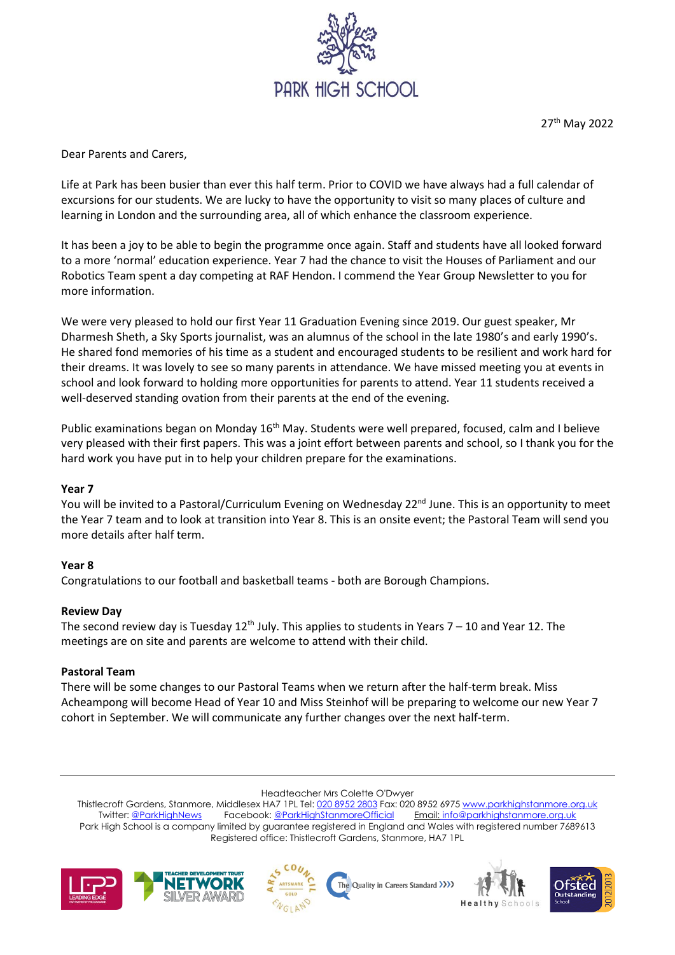

27th May 2022

Dear Parents and Carers,

Life at Park has been busier than ever this half term. Prior to COVID we have always had a full calendar of excursions for our students. We are lucky to have the opportunity to visit so many places of culture and learning in London and the surrounding area, all of which enhance the classroom experience.

It has been a joy to be able to begin the programme once again. Staff and students have all looked forward to a more 'normal' education experience. Year 7 had the chance to visit the Houses of Parliament and our Robotics Team spent a day competing at RAF Hendon. I commend the Year Group Newsletter to you for more information.

We were very pleased to hold our first Year 11 Graduation Evening since 2019. Our guest speaker, Mr Dharmesh Sheth, a Sky Sports journalist, was an alumnus of the school in the late 1980's and early 1990's. He shared fond memories of his time as a student and encouraged students to be resilient and work hard for their dreams. It was lovely to see so many parents in attendance. We have missed meeting you at events in school and look forward to holding more opportunities for parents to attend. Year 11 students received a well-deserved standing ovation from their parents at the end of the evening.

Public examinations began on Monday 16<sup>th</sup> May. Students were well prepared, focused, calm and I believe very pleased with their first papers. This was a joint effort between parents and school, so I thank you for the hard work you have put in to help your children prepare for the examinations.

## **Year 7**

You will be invited to a Pastoral/Curriculum Evening on Wednesday 22<sup>nd</sup> June. This is an opportunity to meet the Year 7 team and to look at transition into Year 8. This is an onsite event; the Pastoral Team will send you more details after half term.

## **Year 8**

Congratulations to our football and basketball teams - both are Borough Champions.

## **Review Day**

The second review day is Tuesday 12<sup>th</sup> July. This applies to students in Years 7 – 10 and Year 12. The meetings are on site and parents are welcome to attend with their child.

## **Pastoral Team**

There will be some changes to our Pastoral Teams when we return after the half-term break. Miss Acheampong will become Head of Year 10 and Miss Steinhof will be preparing to welcome our new Year 7 cohort in September. We will communicate any further changes over the next half-term.

Headteacher Mrs Colette O'Dwyer

Thistlecroft Gardens, Stanmore, Middlesex HA7 1PL Tel[: 020 8952 2803](file://///phs-apps-06/Digital$/Templates/020%208952%202803) Fax: 020 8952 697[5 www.parkhighstanmore.org.uk](file://///phs-apps-06/Digital$/Templates/www.parkhighstanmore.org.uk) Twitter: [@ParkHighNews](https://twitter.com/ParkHighNews) Facebook: [@ParkHighStanmoreOfficial](https://www.facebook.com/pg/ParkHighStanmoreOfficial) Email: info@parkhighstanmore.org.uk Park High School is a company limited by guarantee registered in England and Wales with registered number 7689613 Registered office: Thistlecroft Gardens, Stanmore, HA7 1PL